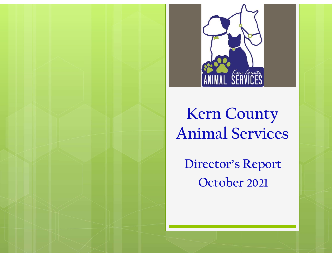

## Kern County Animal Services

Director's Report October 2021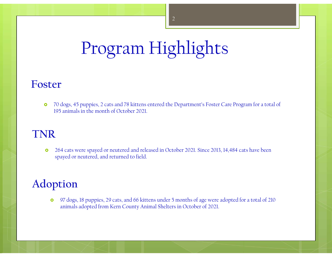# Program Highlights

#### Foster

 70 dogs, 45 puppies, 2 cats and 78 kittens entered the Department's Foster Care Program for a total of 195 animals in the month of October 2021.

#### TNR

 264 cats were spayed or neutered and released in October 2021. Since 2013, 14,484 cats have been spayed or neutered, and returned to field.

### Adoption

 97 dogs, 18 puppies, 29 cats, and 66 kittens under 5 months of age were adopted for a total of 210 animals adopted from Kern County Animal Shelters in October of 2021.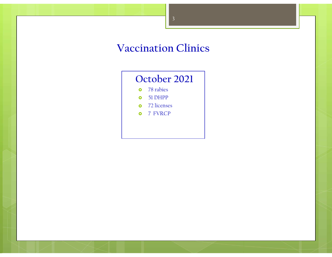#### Vaccination Clinics

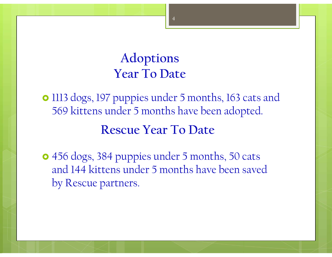### Adoptions Year To Date

• 1113 dogs, 197 puppies under 5 months, 163 cats and 569 kittens under 5 months have been adopted. Rescue Year To Date

 456 dogs, 384 puppies under 5 months, 50 cats and 144 kittens under 5 months have been saved by Rescue partners.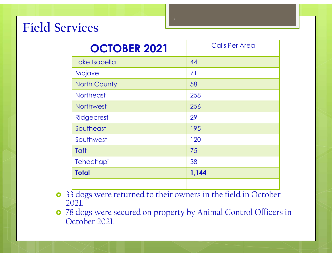### Field Services

| 5<br>vices          |                       |  |
|---------------------|-----------------------|--|
| <b>OCTOBER 2021</b> | <b>Calls Per Area</b> |  |
| Lake Isabella       | 44                    |  |
| Mojave              | 71                    |  |
| <b>North County</b> | 58                    |  |
| <b>Northeast</b>    | 258                   |  |
| Northwest           | 256                   |  |
| Ridgecrest          | 29                    |  |
| Southeast           | 195                   |  |
| Southwest           | 120                   |  |
| Taft                | 75                    |  |
| Tehachapi           | 38                    |  |
| <b>Total</b>        | 1,144                 |  |

- 33 dogs were returned to their owners in the field in October 2021.
- 78 dogs were secured on property by Animal Control Officers in October 2021.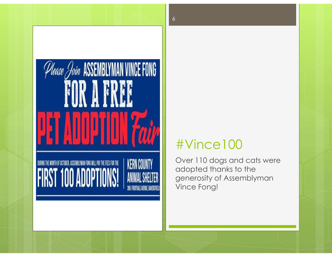

### #Vince100

Over 110 dogs and cats were adopted thanks to the generosity of Assemblyman Vince Fong!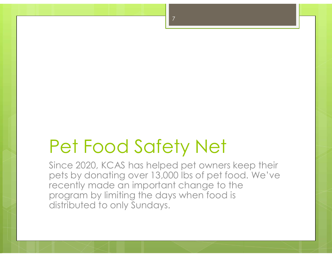# Pet Food Safety Net

Since 2020, KCAS has helped pet owners keep their Pet Food Safety Net<br>Since 2020, KCAS has helped pet owners keep their<br>pets by donating over 13,000 lbs of pet food. We've<br>recently made an important change to the<br>program by limiting the days when food is recently made an important change to the program by limiting the days when food is distributed to only Sundays.